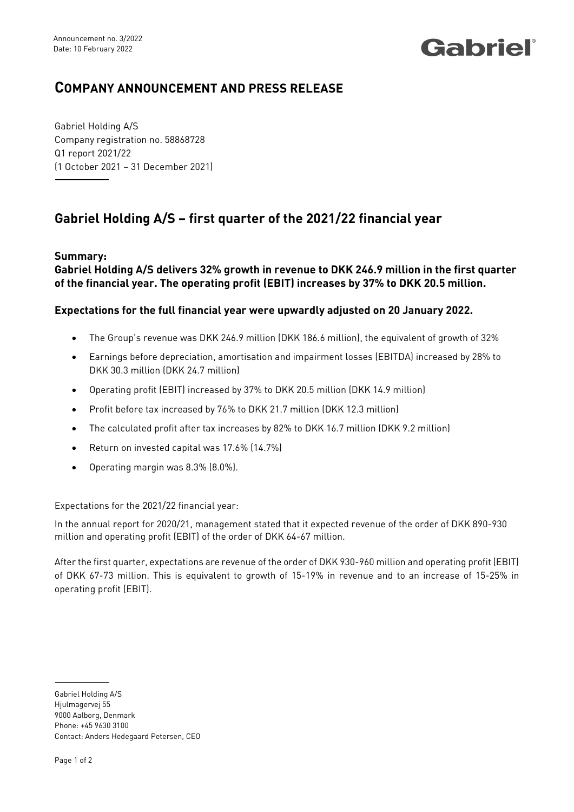## Gabriel®

## **COMPANY ANNOUNCEMENT AND PRESS RELEASE**

Gabriel Holding A/S Company registration no. 58868728 Q1 report 2021/22 (1 October 2021 – 31 December 2021)

## **Gabriel Holding A/S – first quarter of the 2021/22 financial year**

**Summary:**

**Gabriel Holding A/S delivers 32% growth in revenue to DKK 246.9 million in the first quarter of the financial year. The operating profit (EBIT) increases by 37% to DKK 20.5 million.** 

## **Expectations for the full financial year were upwardly adjusted on 20 January 2022.**

- The Group's revenue was DKK 246.9 million (DKK 186.6 million), the equivalent of growth of 32%
- Earnings before depreciation, amortisation and impairment losses (EBITDA) increased by 28% to DKK 30.3 million (DKK 24.7 million)
- Operating profit (EBIT) increased by 37% to DKK 20.5 million (DKK 14.9 million)
- Profit before tax increased by 76% to DKK 21.7 million (DKK 12.3 million)
- The calculated profit after tax increases by 82% to DKK 16.7 million (DKK 9.2 million)
- Return on invested capital was 17.6% (14.7%)
- Operating margin was 8.3% (8.0%).

Expectations for the 2021/22 financial year:

In the annual report for 2020/21, management stated that it expected revenue of the order of DKK 890-930 million and operating profit (EBIT) of the order of DKK 64-67 million.

After the first quarter, expectations are revenue of the order of DKK 930-960 million and operating profit (EBIT) of DKK 67-73 million. This is equivalent to growth of 15-19% in revenue and to an increase of 15-25% in operating profit (EBIT).

Gabriel Holding A/S Hiulmagervei 55 9000 Aalborg, Denmark Phone: +45 9630 3100 Contact: Anders Hedegaard Petersen, CEO